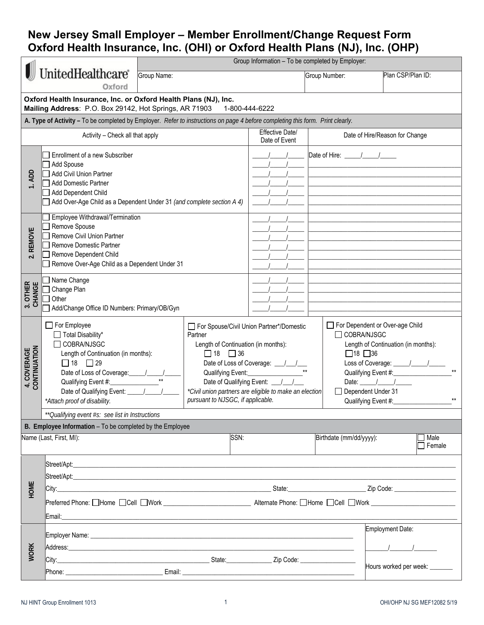## **New Jersey Small Employer – Member Enrollment/Change Request Form Oxford Health Insurance, Inc. (OHI) or Oxford Health Plans (NJ), Inc. (OHP)**

|                                                           |                                                                                                                                                                                                                               | Group Information - To be completed by Employer:                                                                                                                                                                                                                                                               |  |      |                                                                                                                                                                                                 |               |                                |                   |                       |
|-----------------------------------------------------------|-------------------------------------------------------------------------------------------------------------------------------------------------------------------------------------------------------------------------------|----------------------------------------------------------------------------------------------------------------------------------------------------------------------------------------------------------------------------------------------------------------------------------------------------------------|--|------|-------------------------------------------------------------------------------------------------------------------------------------------------------------------------------------------------|---------------|--------------------------------|-------------------|-----------------------|
|                                                           | UnitedHealthcare®<br>Group Name:<br>Oxford                                                                                                                                                                                    |                                                                                                                                                                                                                                                                                                                |  |      |                                                                                                                                                                                                 | Group Number: |                                | Plan CSP/Plan ID: |                       |
|                                                           | Oxford Health Insurance, Inc. or Oxford Health Plans (NJ), Inc.<br>Mailing Address: P.O. Box 29142, Hot Springs, AR 71903                                                                                                     |                                                                                                                                                                                                                                                                                                                |  |      | 1-800-444-6222                                                                                                                                                                                  |               |                                |                   |                       |
|                                                           | A. Type of Activity - To be completed by Employer. Refer to instructions on page 4 before completing this form. Print clearly.                                                                                                |                                                                                                                                                                                                                                                                                                                |  |      |                                                                                                                                                                                                 |               |                                |                   |                       |
|                                                           | Activity - Check all that apply                                                                                                                                                                                               |                                                                                                                                                                                                                                                                                                                |  |      | Effective Date/<br>Date of Event                                                                                                                                                                |               | Date of Hire/Reason for Change |                   |                       |
| 1. ADD                                                    | Enrollment of a new Subscriber<br>Add Spouse<br>Add Civil Union Partner<br><b>Add Domestic Partner</b><br>Add Dependent Child<br>Add Over-Age Child as a Dependent Under 31 (and complete section A 4)                        |                                                                                                                                                                                                                                                                                                                |  |      |                                                                                                                                                                                                 |               |                                |                   |                       |
| <b>REMOVE</b><br>$\overline{\mathbf{v}}$                  | Employee Withdrawal/Termination<br>Remove Spouse<br>Remove Civil Union Partner<br>Remove Domestic Partner<br>Remove Dependent Child<br>Remove Over-Age Child as a Dependent Under 31                                          |                                                                                                                                                                                                                                                                                                                |  |      |                                                                                                                                                                                                 |               |                                |                   |                       |
| 3. OTHER<br>CHANGE<br>$\ddot{ }$                          | Name Change<br>Change Plan<br>Other<br>Add/Change Office ID Numbers: Primary/OB/Gyn                                                                                                                                           |                                                                                                                                                                                                                                                                                                                |  |      |                                                                                                                                                                                                 |               |                                |                   |                       |
| CONTINUATION<br>4. COVERAGE                               | For Employee<br>Total Disability*<br>COBRA/NJSGC<br>Length of Continuation (in months):<br>$\Box$ 18 $\Box$ 29<br>Qualifying Event #:<br>Date of Qualifying Event: \[ \]<br>*Attach proof of disability.                      | For Spouse/Civil Union Partner*/Domestic<br>Partner<br>Length of Continuation (in months):<br>$\Box$ 18 $\Box$ 36<br>Date of Loss of Coverage: __/__/__<br>Qualifying Event:<br>Date of Qualifying Event: \[ \]<br>*Civil union partners are eligible to make an election<br>pursuant to NJSGC, if applicable. |  |      | For Dependent or Over-age Child<br>$\Box$ COBRA/NJSGC<br>Length of Continuation (in months):<br>$\Box$ 18 $\Box$ 36<br>Date: $\frac{1}{\sqrt{2}}$<br>Dependent Under 31<br>Qualifying Event #:_ |               |                                |                   |                       |
|                                                           | ** Qualifying event #s: see list in Instructions                                                                                                                                                                              |                                                                                                                                                                                                                                                                                                                |  |      |                                                                                                                                                                                                 |               |                                |                   |                       |
| B. Employee Information - To be completed by the Employee |                                                                                                                                                                                                                               |                                                                                                                                                                                                                                                                                                                |  |      |                                                                                                                                                                                                 |               |                                |                   |                       |
|                                                           | Name (Last, First, MI):                                                                                                                                                                                                       |                                                                                                                                                                                                                                                                                                                |  | SSN: |                                                                                                                                                                                                 |               | Birthdate (mm/dd/yyyy):        |                   | Male<br>$\Box$ Female |
| HOME                                                      | Preferred Phone: OHome OCell OWork North Alternate Phone: OHome OCell OWork North Communication Communication                                                                                                                 |                                                                                                                                                                                                                                                                                                                |  |      |                                                                                                                                                                                                 |               |                                |                   |                       |
| <b>WORK</b>                                               | Address: All and the contract of the contract of the contract of the contract of the contract of the contract of the contract of the contract of the contract of the contract of the contract of the contract of the contract |                                                                                                                                                                                                                                                                                                                |  |      |                                                                                                                                                                                                 |               |                                | Employment Date:  |                       |
|                                                           |                                                                                                                                                                                                                               |                                                                                                                                                                                                                                                                                                                |  |      |                                                                                                                                                                                                 |               | Hours worked per week: ______  |                   |                       |

1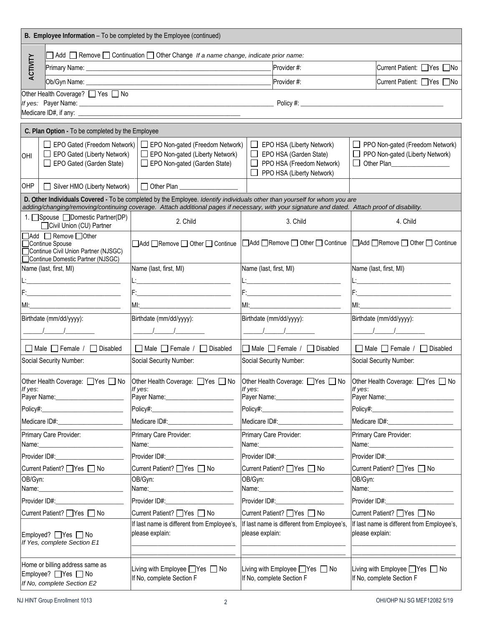| B. Employee Information - To be completed by the Employee (continued)                                              |                                                                                                                                                                                              |                                                                                                                                                                                                                                                                             |                                                                                                                                                                                                                                                                                                                     |                                                                                                                                                                                                                                                                                                                     |  |  |  |  |
|--------------------------------------------------------------------------------------------------------------------|----------------------------------------------------------------------------------------------------------------------------------------------------------------------------------------------|-----------------------------------------------------------------------------------------------------------------------------------------------------------------------------------------------------------------------------------------------------------------------------|---------------------------------------------------------------------------------------------------------------------------------------------------------------------------------------------------------------------------------------------------------------------------------------------------------------------|---------------------------------------------------------------------------------------------------------------------------------------------------------------------------------------------------------------------------------------------------------------------------------------------------------------------|--|--|--|--|
|                                                                                                                    |                                                                                                                                                                                              | $\Box$ Add $\Box$ Remove $\Box$ Continuation $\Box$ Other Change If a name change, indicate prior name:                                                                                                                                                                     |                                                                                                                                                                                                                                                                                                                     |                                                                                                                                                                                                                                                                                                                     |  |  |  |  |
| ACTIVITY                                                                                                           |                                                                                                                                                                                              |                                                                                                                                                                                                                                                                             | Provider #:                                                                                                                                                                                                                                                                                                         | Current Patient: PYes No                                                                                                                                                                                                                                                                                            |  |  |  |  |
|                                                                                                                    |                                                                                                                                                                                              |                                                                                                                                                                                                                                                                             | Provider#:                                                                                                                                                                                                                                                                                                          | Current Patient: Yes No                                                                                                                                                                                                                                                                                             |  |  |  |  |
|                                                                                                                    | Other Health Coverage? □ Yes □ No                                                                                                                                                            |                                                                                                                                                                                                                                                                             |                                                                                                                                                                                                                                                                                                                     |                                                                                                                                                                                                                                                                                                                     |  |  |  |  |
|                                                                                                                    |                                                                                                                                                                                              |                                                                                                                                                                                                                                                                             |                                                                                                                                                                                                                                                                                                                     |                                                                                                                                                                                                                                                                                                                     |  |  |  |  |
|                                                                                                                    |                                                                                                                                                                                              |                                                                                                                                                                                                                                                                             |                                                                                                                                                                                                                                                                                                                     |                                                                                                                                                                                                                                                                                                                     |  |  |  |  |
|                                                                                                                    | C. Plan Option - To be completed by the Employee                                                                                                                                             |                                                                                                                                                                                                                                                                             |                                                                                                                                                                                                                                                                                                                     |                                                                                                                                                                                                                                                                                                                     |  |  |  |  |
| OHI                                                                                                                | EPO Gated (Freedom Network)<br>EPO Non-gated (Freedom Network)<br>EPO Gated (Liberty Network)<br>EPO Non-gated (Liberty Network)<br>EPO Gated (Garden State)<br>EPO Non-gated (Garden State) |                                                                                                                                                                                                                                                                             | $\Box$ EPO HSA (Liberty Network)<br>$\Box$ EPO HSA (Garden State)<br>PPO HSA (Freedom Network)<br>PPO HSA (Liberty Network)                                                                                                                                                                                         | PPO Non-gated (Freedom Network)<br>$\perp$<br>PPO Non-gated (Liberty Network)<br>Other Plan___________________<br>$\mathsf{L}$                                                                                                                                                                                      |  |  |  |  |
| OHP                                                                                                                | Silver HMO (Liberty Network)                                                                                                                                                                 | $\Box$ Other Plan                                                                                                                                                                                                                                                           |                                                                                                                                                                                                                                                                                                                     |                                                                                                                                                                                                                                                                                                                     |  |  |  |  |
|                                                                                                                    |                                                                                                                                                                                              | D. Other Individuals Covered - To be completed by the Employee. Identify individuals other than yourself for whom you are<br>adding/changing/removing/continuing coverage. Attach additional pages if necessary, with your signature and dated. Attach proof of disability. |                                                                                                                                                                                                                                                                                                                     |                                                                                                                                                                                                                                                                                                                     |  |  |  |  |
|                                                                                                                    | 1. Spouse □Domestic Partner(DP)<br>Civil Union (CU) Partner                                                                                                                                  | 2. Child                                                                                                                                                                                                                                                                    | 3. Child                                                                                                                                                                                                                                                                                                            | 4. Child                                                                                                                                                                                                                                                                                                            |  |  |  |  |
| Add Remove Other<br>Continue Spouse<br>Continue Civil Union Partner (NJSGC)<br>Continue Domestic Partner (NJSGC)   |                                                                                                                                                                                              | □Add □Remove □ Other □ Continue                                                                                                                                                                                                                                             | △ Add △ Remove △ Other △ Continue                                                                                                                                                                                                                                                                                   | □Add ■Remove □ Other □ Continue                                                                                                                                                                                                                                                                                     |  |  |  |  |
| Name (last, first, MI)                                                                                             |                                                                                                                                                                                              | Name (last, first, MI)                                                                                                                                                                                                                                                      | Name (last, first, MI)                                                                                                                                                                                                                                                                                              | Name (last, first, MI)                                                                                                                                                                                                                                                                                              |  |  |  |  |
|                                                                                                                    |                                                                                                                                                                                              |                                                                                                                                                                                                                                                                             | <u> L:______________________________</u>                                                                                                                                                                                                                                                                            | <u>L:__________________________</u>                                                                                                                                                                                                                                                                                 |  |  |  |  |
|                                                                                                                    |                                                                                                                                                                                              |                                                                                                                                                                                                                                                                             |                                                                                                                                                                                                                                                                                                                     |                                                                                                                                                                                                                                                                                                                     |  |  |  |  |
|                                                                                                                    |                                                                                                                                                                                              |                                                                                                                                                                                                                                                                             |                                                                                                                                                                                                                                                                                                                     |                                                                                                                                                                                                                                                                                                                     |  |  |  |  |
| Birthdate (mm/dd/yyyy):                                                                                            |                                                                                                                                                                                              | Birthdate (mm/dd/yyyy):                                                                                                                                                                                                                                                     | Birthdate (mm/dd/yyyy):                                                                                                                                                                                                                                                                                             | Birthdate (mm/dd/yyyy):                                                                                                                                                                                                                                                                                             |  |  |  |  |
|                                                                                                                    |                                                                                                                                                                                              | $\sqrt{2}$                                                                                                                                                                                                                                                                  | $\frac{1}{2}$ $\frac{1}{2}$ $\frac{1}{2}$ $\frac{1}{2}$ $\frac{1}{2}$ $\frac{1}{2}$ $\frac{1}{2}$ $\frac{1}{2}$ $\frac{1}{2}$ $\frac{1}{2}$ $\frac{1}{2}$ $\frac{1}{2}$ $\frac{1}{2}$ $\frac{1}{2}$ $\frac{1}{2}$ $\frac{1}{2}$ $\frac{1}{2}$ $\frac{1}{2}$ $\frac{1}{2}$ $\frac{1}{2}$ $\frac{1}{2}$ $\frac{1}{2}$ | $\frac{1}{2}$ $\frac{1}{2}$ $\frac{1}{2}$ $\frac{1}{2}$ $\frac{1}{2}$ $\frac{1}{2}$ $\frac{1}{2}$ $\frac{1}{2}$ $\frac{1}{2}$ $\frac{1}{2}$ $\frac{1}{2}$ $\frac{1}{2}$ $\frac{1}{2}$ $\frac{1}{2}$ $\frac{1}{2}$ $\frac{1}{2}$ $\frac{1}{2}$ $\frac{1}{2}$ $\frac{1}{2}$ $\frac{1}{2}$ $\frac{1}{2}$ $\frac{1}{2}$ |  |  |  |  |
| $\Box$ Male $\Box$ Female / $\Box$ Disabled                                                                        |                                                                                                                                                                                              | $\Box$ Male $\Box$ Female / $\Box$ Disabled                                                                                                                                                                                                                                 | $\Box$ Male $\Box$ Female / $\Box$ Disabled                                                                                                                                                                                                                                                                         | $\Box$ Male $\Box$ Female / $\Box$ Disabled                                                                                                                                                                                                                                                                         |  |  |  |  |
| Social Security Number:                                                                                            |                                                                                                                                                                                              | Social Security Number:                                                                                                                                                                                                                                                     | Social Security Number:                                                                                                                                                                                                                                                                                             | Social Security Number:                                                                                                                                                                                                                                                                                             |  |  |  |  |
| Other Health Coverage: □ Yes □ No<br>If yes:                                                                       |                                                                                                                                                                                              | Other Health Coverage: □ Yes □ No Other Health Coverage: □ Yes □ No Other Health Coverage: □ Yes □ No<br>If yes:                                                                                                                                                            | If yes:                                                                                                                                                                                                                                                                                                             | If yes:                                                                                                                                                                                                                                                                                                             |  |  |  |  |
|                                                                                                                    |                                                                                                                                                                                              |                                                                                                                                                                                                                                                                             |                                                                                                                                                                                                                                                                                                                     | Payer Name: Name:                                                                                                                                                                                                                                                                                                   |  |  |  |  |
|                                                                                                                    |                                                                                                                                                                                              |                                                                                                                                                                                                                                                                             |                                                                                                                                                                                                                                                                                                                     | Policy#:_________________________                                                                                                                                                                                                                                                                                   |  |  |  |  |
| Medicare ID#: Medicare ID#:                                                                                        |                                                                                                                                                                                              | Medicare ID#: New York Products And All Products And All Products And All Products And All Products A                                                                                                                                                                       | Medicare ID#: Medicare ID#:                                                                                                                                                                                                                                                                                         |                                                                                                                                                                                                                                                                                                                     |  |  |  |  |
| Primary Care Provider:                                                                                             |                                                                                                                                                                                              | Primary Care Provider:                                                                                                                                                                                                                                                      | Primary Care Provider:                                                                                                                                                                                                                                                                                              | Primary Care Provider:<br>Name: Name:                                                                                                                                                                                                                                                                               |  |  |  |  |
|                                                                                                                    | Provider ID#: New York 1999                                                                                                                                                                  |                                                                                                                                                                                                                                                                             |                                                                                                                                                                                                                                                                                                                     | Provider ID#: New York Provider ID#:                                                                                                                                                                                                                                                                                |  |  |  |  |
| Current Patient? ■ Yes ■ No                                                                                        |                                                                                                                                                                                              | Current Patient? □ Yes □ No                                                                                                                                                                                                                                                 | Current Patient? □ Yes □ No                                                                                                                                                                                                                                                                                         | Current Patient? □ Yes □ No                                                                                                                                                                                                                                                                                         |  |  |  |  |
| OB/Gyn:                                                                                                            |                                                                                                                                                                                              | OB/Gyn:                                                                                                                                                                                                                                                                     | OB/Gyn:<br>Name: 2008                                                                                                                                                                                                                                                                                               | OB/Gyn:                                                                                                                                                                                                                                                                                                             |  |  |  |  |
|                                                                                                                    | Provider ID#: New York Provider ID#:<br>Provider ID#: New York 2014                                                                                                                          |                                                                                                                                                                                                                                                                             | Provider ID#: Network and the state of the state of the state of the state of the state of the state of the state of the state of the state of the state of the state of the state of the state of the state of the state of t                                                                                      |                                                                                                                                                                                                                                                                                                                     |  |  |  |  |
|                                                                                                                    | Current Patient? Ves □ No<br>Current Patient? Ves □ No                                                                                                                                       |                                                                                                                                                                                                                                                                             | Current Patient? Ves □ No                                                                                                                                                                                                                                                                                           | Current Patient? Ves □ No                                                                                                                                                                                                                                                                                           |  |  |  |  |
| please explain:<br>Employed? ■ Yes ■ No<br>If Yes, complete Section E1                                             |                                                                                                                                                                                              | If last name is different from Employee's,                                                                                                                                                                                                                                  | If last name is different from Employee's,<br>please explain:                                                                                                                                                                                                                                                       | If last name is different from Employee's,<br>please explain:                                                                                                                                                                                                                                                       |  |  |  |  |
| Home or billing address same as<br>Employee? ■ Yes ■ No<br>If No, complete Section F<br>If No, complete Section E2 |                                                                                                                                                                                              | Living with Employee ■ Yes ■ No                                                                                                                                                                                                                                             | Living with Employee ■ Yes ■ No<br>If No, complete Section F                                                                                                                                                                                                                                                        | Living with Employee ■ Yes ■ No<br>If No, complete Section F                                                                                                                                                                                                                                                        |  |  |  |  |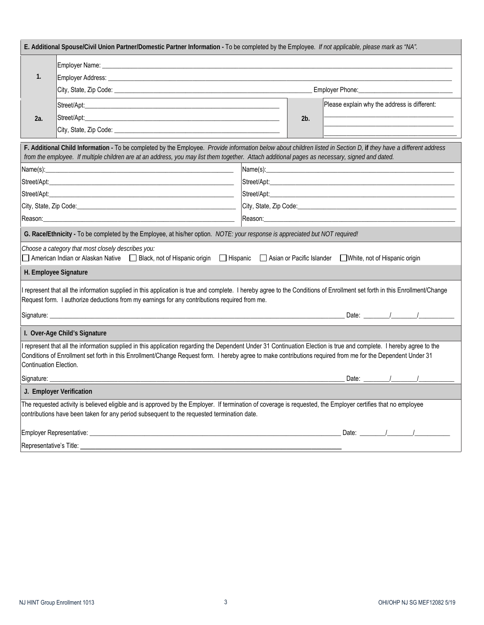| E. Additional Spouse/Civil Union Partner/Domestic Partner Information - To be completed by the Employee. If not applicable, please mark as "NA".                                                                                                                                                                                                                                                                         |                                                                                                                   |                                                                                                                                                                                                        |                                                                                                                |                                              |  |  |  |  |
|--------------------------------------------------------------------------------------------------------------------------------------------------------------------------------------------------------------------------------------------------------------------------------------------------------------------------------------------------------------------------------------------------------------------------|-------------------------------------------------------------------------------------------------------------------|--------------------------------------------------------------------------------------------------------------------------------------------------------------------------------------------------------|----------------------------------------------------------------------------------------------------------------|----------------------------------------------|--|--|--|--|
|                                                                                                                                                                                                                                                                                                                                                                                                                          |                                                                                                                   |                                                                                                                                                                                                        |                                                                                                                |                                              |  |  |  |  |
| 1.                                                                                                                                                                                                                                                                                                                                                                                                                       |                                                                                                                   |                                                                                                                                                                                                        |                                                                                                                |                                              |  |  |  |  |
|                                                                                                                                                                                                                                                                                                                                                                                                                          |                                                                                                                   | Employer Phone: Management Control of The Phone:                                                                                                                                                       |                                                                                                                |                                              |  |  |  |  |
|                                                                                                                                                                                                                                                                                                                                                                                                                          | Street/Apt: 2004                                                                                                  |                                                                                                                                                                                                        |                                                                                                                | Please explain why the address is different: |  |  |  |  |
| 2a.                                                                                                                                                                                                                                                                                                                                                                                                                      | Street/Apt: www.astronometer.com/watch?com/watch?com/watch?com/watch?com/watch?com/watch?com/watch?com/watch?com/ |                                                                                                                                                                                                        |                                                                                                                |                                              |  |  |  |  |
|                                                                                                                                                                                                                                                                                                                                                                                                                          |                                                                                                                   |                                                                                                                                                                                                        |                                                                                                                |                                              |  |  |  |  |
| F. Additional Child Information - To be completed by the Employee. Provide information below about children listed in Section D, if they have a different address<br>from the employee. If multiple children are at an address, you may list them together. Attach additional pages as necessary, signed and dated.                                                                                                      |                                                                                                                   |                                                                                                                                                                                                        |                                                                                                                |                                              |  |  |  |  |
|                                                                                                                                                                                                                                                                                                                                                                                                                          |                                                                                                                   |                                                                                                                                                                                                        |                                                                                                                |                                              |  |  |  |  |
|                                                                                                                                                                                                                                                                                                                                                                                                                          | Street/Apt: www.astronometer.com/www.astronometer.com/www.astronometer.com/www.astronometer.com/www               |                                                                                                                                                                                                        |                                                                                                                |                                              |  |  |  |  |
|                                                                                                                                                                                                                                                                                                                                                                                                                          |                                                                                                                   | Street/Apt: <b>Street/Apt: Street/Apt: Street/Apt: Street/Apt: Street/Apt: Street/Apt: Street/Apt: Street/Apt: Street/Apt: Street/Apt: Street/Apt: Street/Apt: Street/Apt: Street/Apt: Street/Apt:</b> |                                                                                                                |                                              |  |  |  |  |
|                                                                                                                                                                                                                                                                                                                                                                                                                          |                                                                                                                   | City, State, Zip Code: Call Content of the Content of the Content of the Content of the Content of the Content                                                                                         |                                                                                                                |                                              |  |  |  |  |
| Reason:                                                                                                                                                                                                                                                                                                                                                                                                                  | the control of the control of the control of the control of the control of the control of                         |                                                                                                                                                                                                        | Reason: 2008 - 2008 - 2008 - 2008 - 2008 - 2008 - 2008 - 2008 - 2008 - 2008 - 2008 - 2008 - 2008 - 2008 - 2008 |                                              |  |  |  |  |
| G. Race/Ethnicity - To be completed by the Employee, at his/her option. NOTE: your response is appreciated but NOT required!                                                                                                                                                                                                                                                                                             |                                                                                                                   |                                                                                                                                                                                                        |                                                                                                                |                                              |  |  |  |  |
| Choose a category that most closely describes you:<br>American Indian or Alaskan Native   Black, not of Hispanic origin<br>$\Box$ Hispanic<br>Asian or Pacific Islander<br>White, not of Hispanic origin                                                                                                                                                                                                                 |                                                                                                                   |                                                                                                                                                                                                        |                                                                                                                |                                              |  |  |  |  |
| H. Employee Signature                                                                                                                                                                                                                                                                                                                                                                                                    |                                                                                                                   |                                                                                                                                                                                                        |                                                                                                                |                                              |  |  |  |  |
| I represent that all the information supplied in this application is true and complete. I hereby agree to the Conditions of Enrollment set forth in this Enrollment/Change<br>Request form. I authorize deductions from my earnings for any contributions required from me.                                                                                                                                              |                                                                                                                   |                                                                                                                                                                                                        |                                                                                                                |                                              |  |  |  |  |
| Date: $\frac{1}{\sqrt{2}}$                                                                                                                                                                                                                                                                                                                                                                                               |                                                                                                                   |                                                                                                                                                                                                        |                                                                                                                |                                              |  |  |  |  |
| I. Over-Age Child's Signature                                                                                                                                                                                                                                                                                                                                                                                            |                                                                                                                   |                                                                                                                                                                                                        |                                                                                                                |                                              |  |  |  |  |
| I represent that all the information supplied in this application regarding the Dependent Under 31 Continuation Election is true and complete. I hereby agree to the<br>Conditions of Enrollment set forth in this Enrollment/Change Request form. I hereby agree to make contributions required from me for the Dependent Under 31<br>Continuation Election.                                                            |                                                                                                                   |                                                                                                                                                                                                        |                                                                                                                |                                              |  |  |  |  |
| Signature: ______                                                                                                                                                                                                                                                                                                                                                                                                        |                                                                                                                   |                                                                                                                                                                                                        |                                                                                                                |                                              |  |  |  |  |
| J. Employer Verification                                                                                                                                                                                                                                                                                                                                                                                                 |                                                                                                                   |                                                                                                                                                                                                        |                                                                                                                |                                              |  |  |  |  |
| The requested activity is believed eligible and is approved by the Employer. If termination of coverage is requested, the Employer certifies that no employee<br>contributions have been taken for any period subsequent to the requested termination date.                                                                                                                                                              |                                                                                                                   |                                                                                                                                                                                                        |                                                                                                                |                                              |  |  |  |  |
| Date: $\frac{1}{\sqrt{1-\frac{1}{2}}}\frac{1}{\sqrt{1-\frac{1}{2}}}\frac{1}{\sqrt{1-\frac{1}{2}}}\frac{1}{\sqrt{1-\frac{1}{2}}}\frac{1}{\sqrt{1-\frac{1}{2}}}\frac{1}{\sqrt{1-\frac{1}{2}}}\frac{1}{\sqrt{1-\frac{1}{2}}}\frac{1}{\sqrt{1-\frac{1}{2}}}\frac{1}{\sqrt{1-\frac{1}{2}}}\frac{1}{\sqrt{1-\frac{1}{2}}}\frac{1}{\sqrt{1-\frac{1}{2}}}\frac{1}{\sqrt{1-\frac{1}{2}}}\frac{1}{\sqrt{1-\frac{1}{2}}}\frac{1}{\$ |                                                                                                                   |                                                                                                                                                                                                        |                                                                                                                |                                              |  |  |  |  |
| Representative's Title:                                                                                                                                                                                                                                                                                                                                                                                                  |                                                                                                                   |                                                                                                                                                                                                        |                                                                                                                |                                              |  |  |  |  |